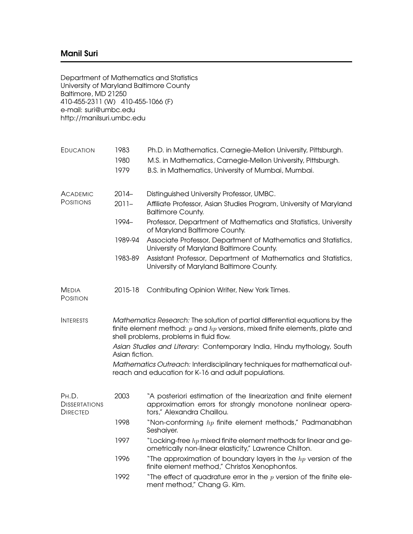Department of Mathematics and Statistics University of Maryland Baltimore County Baltimore, MD 21250 410-455-2311 (W) 410-455-1066 (F) e-mail: suri@umbc.edu http://manilsuri.umbc.edu

| EDUCATION                                        | 1983<br>1980<br>1979                                                                                                                                                                                     | Ph.D. in Mathematics, Carnegie-Mellon University, Pittsburgh.<br>M.S. in Mathematics, Carnegie-Mellon University, Pittsburgh.<br>B.S. in Mathematics, University of Mumbai, Mumbai. |  |  |
|--------------------------------------------------|----------------------------------------------------------------------------------------------------------------------------------------------------------------------------------------------------------|-------------------------------------------------------------------------------------------------------------------------------------------------------------------------------------|--|--|
| <b>ACADEMIC</b>                                  | $2014 -$                                                                                                                                                                                                 | Distinguished University Professor, UMBC.                                                                                                                                           |  |  |
| <b>POSITIONS</b>                                 | $2011 -$                                                                                                                                                                                                 | Affiliate Professor, Asian Studies Program, University of Maryland<br><b>Baltimore County.</b>                                                                                      |  |  |
|                                                  | 1994-                                                                                                                                                                                                    | Professor, Department of Mathematics and Statistics, University<br>of Maryland Baltimore County.                                                                                    |  |  |
|                                                  | 1989-94                                                                                                                                                                                                  | Associate Professor, Department of Mathematics and Statistics,<br>University of Maryland Baltimore County.                                                                          |  |  |
|                                                  | 1983-89                                                                                                                                                                                                  | Assistant Professor, Department of Mathematics and Statistics,<br>University of Maryland Baltimore County.                                                                          |  |  |
| <b>MEDIA</b><br>POSITION                         | 2015-18                                                                                                                                                                                                  | Contributing Opinion Writer, New York Times.                                                                                                                                        |  |  |
| <b>INTERESTS</b>                                 | Mathematics Research: The solution of partial differential equations by the<br>finite element method: $p$ and $hp$ versions, mixed finite elements, plate and<br>shell problems, problems in fluid flow. |                                                                                                                                                                                     |  |  |
|                                                  | Asian Studies and Literary: Contemporary India, Hindu mythology, South<br>Asian fiction.                                                                                                                 |                                                                                                                                                                                     |  |  |
|                                                  | Mathematics Outreach: Interdisciplinary techniques for mathematical out-<br>reach and education for K-16 and adult populations.                                                                          |                                                                                                                                                                                     |  |  |
| PH.D.<br><b>DISSERTATIONS</b><br><b>DIRECTED</b> | 2003                                                                                                                                                                                                     | "A posteriori estimation of the linearization and finite element<br>approximation errors for strongly monotone nonlinear opera-<br>tors," Alexandra Chaillou.                       |  |  |
|                                                  | 1998                                                                                                                                                                                                     | "Non-conforming $hp$ finite element methods," Padmanabhan<br>Seshaiyer.                                                                                                             |  |  |
|                                                  | 1997                                                                                                                                                                                                     | "Locking-free $hp$ mixed finite element methods for linear and ge-<br>ometrically non-linear elasticity," Lawrence Chilton.                                                         |  |  |
|                                                  | 1996                                                                                                                                                                                                     | "The approximation of boundary layers in the $hp$ version of the<br>finite element method," Christos Xenophontos.                                                                   |  |  |
|                                                  | 1992                                                                                                                                                                                                     | "The effect of quadrature error in the $p$ version of the finite ele-<br>ment method," Chang G. Kim.                                                                                |  |  |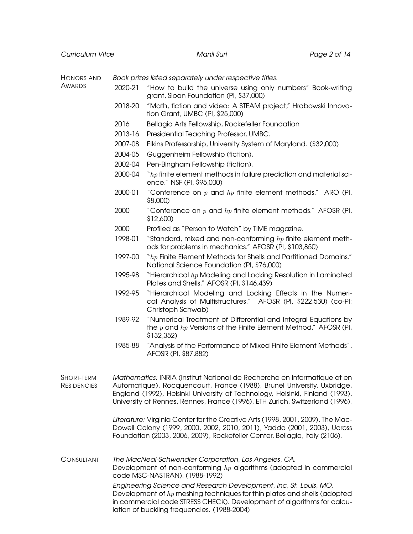| Curriculum Vitæ                  |                                                                                                                                                                                                                                                                                                                     | Manil Suri                                                                                                                                          | Page 2 of 14 |  |  |
|----------------------------------|---------------------------------------------------------------------------------------------------------------------------------------------------------------------------------------------------------------------------------------------------------------------------------------------------------------------|-----------------------------------------------------------------------------------------------------------------------------------------------------|--------------|--|--|
|                                  |                                                                                                                                                                                                                                                                                                                     |                                                                                                                                                     |              |  |  |
| HONORS AND                       | Book prizes listed separately under respective titles.                                                                                                                                                                                                                                                              |                                                                                                                                                     |              |  |  |
| <b>AWARDS</b>                    | 2020-21                                                                                                                                                                                                                                                                                                             | "How to build the universe using only numbers" Book-writing<br>grant, Sloan Foundation (PI, \$37,000)                                               |              |  |  |
|                                  | 2018-20                                                                                                                                                                                                                                                                                                             | "Math, fiction and video: A STEAM project," Hrabowski Innova-<br>tion Grant, UMBC (PI, \$25,000)                                                    |              |  |  |
|                                  | 2016                                                                                                                                                                                                                                                                                                                | Bellagio Arts Fellowship, Rockefeller Foundation                                                                                                    |              |  |  |
|                                  | 2013-16                                                                                                                                                                                                                                                                                                             | Presidential Teaching Professor, UMBC.                                                                                                              |              |  |  |
|                                  | 2007-08                                                                                                                                                                                                                                                                                                             | Elkins Professorship, University System of Maryland. (\$32,000)                                                                                     |              |  |  |
|                                  | 2004-05                                                                                                                                                                                                                                                                                                             | Guggenheim Fellowship (fiction).                                                                                                                    |              |  |  |
|                                  | 2002-04                                                                                                                                                                                                                                                                                                             | Pen-Bingham Fellowship (fiction).                                                                                                                   |              |  |  |
|                                  | 2000-04                                                                                                                                                                                                                                                                                                             | $\degree$ hp finite element methods in failure prediction and material sci-<br>ence." NSF (PI, \$95,000)                                            |              |  |  |
|                                  | 2000-01                                                                                                                                                                                                                                                                                                             | "Conference on $p$ and $hp$ finite element methods." ARO (PI,<br>\$8,000)                                                                           |              |  |  |
|                                  | 2000                                                                                                                                                                                                                                                                                                                | "Conference on $p$ and $hp$ finite element methods." AFOSR (PI,<br>\$12,600)                                                                        |              |  |  |
|                                  | 2000                                                                                                                                                                                                                                                                                                                | Profiled as "Person to Watch" by TIME magazine.                                                                                                     |              |  |  |
|                                  | 1998-01                                                                                                                                                                                                                                                                                                             | "Standard, mixed and non-conforming $hp$ finite element meth-<br>ods for problems in mechanics." AFOSR (PI, \$103,850)                              |              |  |  |
|                                  | 1997-00                                                                                                                                                                                                                                                                                                             | " $hp$ Finite Element Methods for Shells and Partitioned Domains."<br>National Science Foundation (PI, \$76,000)                                    |              |  |  |
|                                  | 1995-98                                                                                                                                                                                                                                                                                                             | "Hierarchical $hp$ Modeling and Locking Resolution in Laminated<br>Plates and Shells." AFOSR (PI, \$146,439)                                        |              |  |  |
|                                  | 1992-95                                                                                                                                                                                                                                                                                                             | "Hierarchical Modeling and Locking Effects in the Numeri-<br>cal Analysis of Multistructures." AFOSR (PI, \$222,530) (co-PI:<br>Christoph Schwab)   |              |  |  |
|                                  | 1989-92                                                                                                                                                                                                                                                                                                             | "Numerical Treatment of Differential and Integral Equations by<br>the $p$ and $hp$ Versions of the Finite Element Method." AFOSR (PI,<br>\$132,352) |              |  |  |
|                                  | 1985-88                                                                                                                                                                                                                                                                                                             | "Analysis of the Performance of Mixed Finite Element Methods",<br>AFOSR (PI, \$87,882)                                                              |              |  |  |
| SHORT-TERM<br><b>RESIDENCIES</b> | Mathematics: INRIA (Institut National de Recherche en Informatique et en<br>Automatique), Rocquencourt, France (1988), Brunel University, Uxbridge,<br>England (1992), Helsinki University of Technology, Helsinki, Finland (1993),<br>University of Rennes, Rennes, France (1996), ETH Zurich, Switzerland (1996). |                                                                                                                                                     |              |  |  |
|                                  | Literature: Virginia Center for the Creative Arts (1998, 2001, 2009), The Mac-<br>Dowell Colony (1999, 2000, 2002, 2010, 2011), Yaddo (2001, 2003), Ucross<br>Foundation (2003, 2006, 2009), Rockefeller Center, Bellagio, Italy (2106).                                                                            |                                                                                                                                                     |              |  |  |
| CONSULTANT                       | The MacNeal-Schwendler Corporation, Los Angeles, CA.<br>Development of non-conforming $hp$ algorithms (adopted in commercial<br>code MSC-NASTRAN). (1988-1992)                                                                                                                                                      |                                                                                                                                                     |              |  |  |
|                                  | Engineering Science and Research Development, Inc, St. Louis, MO.<br>Development of $hp$ meshing techniques for thin plates and shells (adopted<br>in commercial code STRESS CHECK). Development of algorithms for calcu-<br>lation of buckling frequencies. (1988-2004)                                            |                                                                                                                                                     |              |  |  |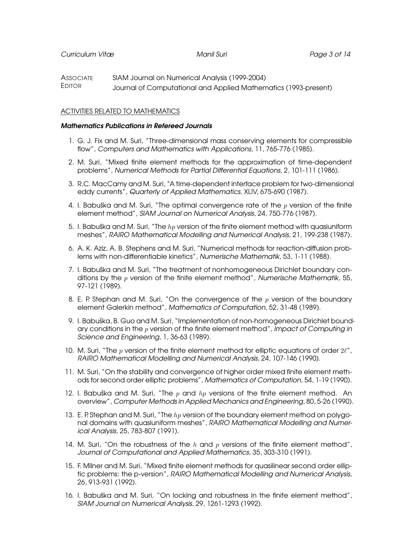**ASSOCIATE** EDITOR SIAM Journal on Numerical Analysis (1999-2004) Journal of Computational and Applied Mathematics (1993-present)

# ACTIVITIES RELATED TO MATHEMATICS

### Mathematics Publications in Refereed Journals

- 1. G. J. Fix and M. Suri, "Three-dimensional mass conserving elements for compressible flow", Computers and Mathematics with Applications, 11, 765-776 (1985).
- 2. M. Suri, "Mixed finite element methods for the approximation of time-dependent problems", Numerical Methods for Partial Differential Equations, 2, 101-111 (1986).
- 3. R.C. MacCamy and M. Suri, "A time-dependent interface problem for two-dimensional eddy currents", Quarterly of Applied Mathematics, XLIV, 675-690 (1987).
- 4. I. Babuška and M. Suri, "The optimal convergence rate of the  $p$  version of the finite element method", SIAM Journal on Numerical Analysis, 24, 750-776 (1987).
- 5. I. Babuška and M. Suri, "The  $hp$  version of the finite element method with quasiuniform meshes", RAIRO Mathematical Modelling and Numerical Analysis, 21, 199-238 (1987).
- 6. A. K. Aziz, A. B. Stephens and M. Suri, "Numerical methods for reaction-diffusion problems with non-differentiable kinetics", Numerische Mathematik, 53, 1-11 (1988).
- 7. I. Babuška and M. Suri, "The treatment of nonhomogeneous Dirichlet boundary conditions by the  $p$  version of the finite element method", Numerische Mathematik, 55, 97-121 (1989).
- 8. E. P. Stephan and M. Suri, "On the convergence of the  $p$  version of the boundary element Galerkin method", Mathematics of Computation, 52, 31-48 (1989).
- 9. I. Babuška, B. Guo and M. Suri, "Implementation of non-homogeneous Dirichlet boundary conditions in the  $p$  version of the finite element method", Impact of Computing in Science and Engineering, 1, 36-63 (1989).
- 10. M. Suri, "The  $p$  version of the finite element method for elliptic equations of order  $2\ell$ ", RAIRO Mathematical Modelling and Numerical Analysis, 24, 107-146 (1990).
- 11. M. Suri, "On the stability and convergence of higher order mixed finite element methods for second order elliptic problems", Mathematics of Computation, 54, 1-19 (1990).
- 12. I. Babuška and M. Suri, "The  $p$  and  $hp$  versions of the finite element method. An overview", Computer Methods in Applied Mechanics and Engineering, 80, 5-26 (1990).
- 13. E. P. Stephan and M. Suri, "The  $hp$  version of the boundary element method on polygonal domains with quasiuniform meshes", RAIRO Mathematical Modelling and Numerical Analysis, 25, 783-807 (1991).
- 14. M. Suri, "On the robustness of the  $h$  and  $p$  versions of the finite element method", Journal of Computational and Applied Mathematics, 35, 303-310 (1991).
- 15. F. Milner and M. Suri, "Mixed finite element methods for quasilinear second order elliptic problems: the p-version", RAIRO Mathematical Modelling and Numerical Analysis, 26, 913-931 (1992).
- 16. I. Babuška and M. Suri, "On locking and robustness in the finite element method", SIAM Journal on Numerical Analysis, 29, 1261-1293 (1992).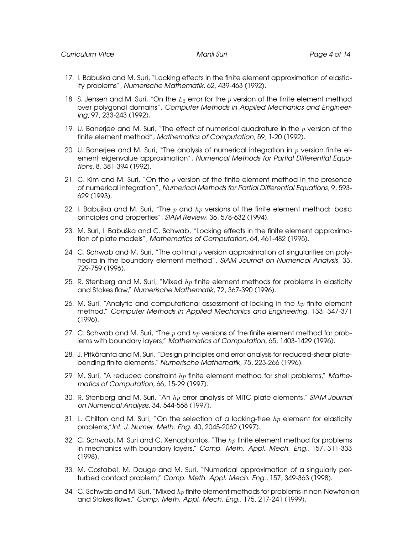- 17. I. Babuška and M. Suri, "Locking effects in the finite element approximation of elasticity problems", Numerische Mathematik, 62, 439-463 (1992).
- 18. S. Jensen and M. Suri, "On the  $L_2$  error for the p version of the finite element method over polygonal domains", Computer Methods in Applied Mechanics and Engineering, 97, 233-243 (1992).
- 19. U. Banerjee and M. Suri, "The effect of numerical quadrature in the  $p$  version of the finite element method", Mathematics of Computation, 59, 1-20 (1992).
- 20. U. Banerjee and M. Suri, "The analysis of numerical integration in  $p$  version finite element eigenvalue approximation", Numerical Methods for Partial Differential Equations, 8, 381-394 (1992).
- 21. C. Kim and M. Suri, "On the  $p$  version of the finite element method in the presence of numerical integration", Numerical Methods for Partial Differential Equations, 9, 593- 629 (1993).
- 22. I. Babuška and M. Suri, "The  $p$  and  $hp$  versions of the finite element method: basic principles and properties", SIAM Review, 36, 578-632 (1994).
- 23. M. Suri, I. Babuška and C. Schwab, "Locking effects in the finite element approximation of plate models", Mathematics of Computation, 64, 461-482 (1995).
- 24. C. Schwab and M. Suri, "The optimal  $p$  version approximation of singularities on polyhedra in the boundary element method", SIAM Journal on Numerical Analysis, 33, 729-759 (1996).
- 25. R. Stenberg and M. Suri, "Mixed  $hp$  finite element methods for problems in elasticity and Stokes flow," Numerische Mathematik, 72, 367-390 (1996).
- 26. M. Suri, "Analytic and computational assessment of locking in the  $hp$  finite element method," Computer Methods in Applied Mechanics and Engineering, 133, 347-371 (1996).
- 27. C. Schwab and M. Suri, "The  $p$  and  $hp$  versions of the finite element method for problems with boundary layers," Mathematics of Computation, 65, 1403-1429 (1996).
- 28. J. Pitkäranta and M. Suri, "Design principles and error analysis for reduced-shear platebending finite elements," Numerische Mathematik, 75, 223-266 (1996).
- 29. M. Suri, "A reduced constraint  $hp$  finite element method for shell problems," Mathematics of Computation, 66, 15-29 (1997).
- 30. R. Stenberg and M. Suri, "An  $hp$  error analysis of MITC plate elements," SIAM Journal on Numerical Analysis, 34, 544-568 (1997).
- 31. L. Chilton and M. Suri, "On the selection of a locking-free  $hp$  element for elasticity problems,"Int. J. Numer. Meth. Eng. 40, 2045-2062 (1997).
- 32. C. Schwab, M. Suri and C. Xenophontos, "The  $hp$  finite element method for problems in mechanics with boundary layers," Comp. Meth. Appl. Mech. Eng., 157, 311-333 (1998).
- 33. M. Costabel, M. Dauge and M. Suri, "Numerical approximation of a singularly perturbed contact problem," Comp. Meth. Appl. Mech. Eng., 157, 349-363 (1998).
- 34. C. Schwab and M. Suri, "Mixed  $hp$  finite element methods for problems in non-Newtonian and Stokes flows," Comp. Meth. Appl. Mech. Eng., 175, 217-241 (1999).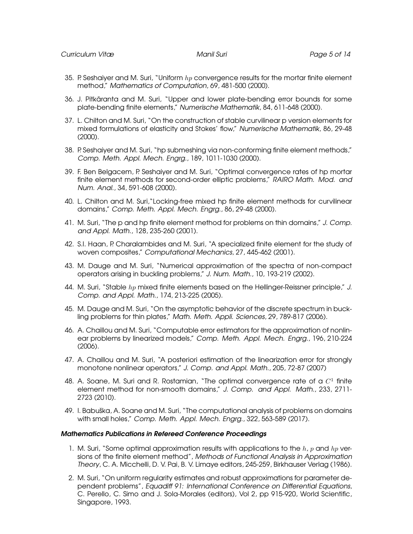- 35. P. Seshaiyer and M. Suri, "Uniform  $hp$  convergence results for the mortar finite element method," Mathematics of Computation, 69, 481-500 (2000).
- 36. J. Pitkaranta and M. Suri, "Upper and lower plate-bending error bounds for some ¨ plate-bending finite elements," Numerische Mathematik, 84, 611-648 (2000).
- 37. L. Chilton and M. Suri, "On the construction of stable curvilinear p version elements for mixed formulations of elasticity and Stokes' flow," Numerische Mathematik, 86, 29-48 (2000).
- 38. P. Seshaiyer and M. Suri, "hp submeshing via non-conforming finite element methods," Comp. Meth. Appl. Mech. Engrg., 189, 1011-1030 (2000).
- 39. F. Ben Belgacem, P. Seshaiyer and M. Suri, "Optimal convergence rates of hp mortar finite element methods for second-order elliptic problems," RAIRO Math. Mod. and Num. Anal., 34, 591-608 (2000).
- 40. L. Chilton and M. Suri,"Locking-free mixed hp finite element methods for curvilinear domains," Comp. Meth. Appl. Mech. Engrg., 86, 29-48 (2000).
- 41. M. Suri, "The p and hp finite element method for problems on thin domains," J. Comp. and Appl. Math., 128, 235-260 (2001).
- 42. S.I. Haan, P. Charalambides and M. Suri, "A specialized finite element for the study of woven composites," Computational Mechanics, 27, 445-462 (2001).
- 43. M. Dauge and M. Suri, "Numerical approximation of the spectra of non-compact operators arising in buckling problems," J. Num. Math., 10, 193-219 (2002).
- 44. M. Suri, "Stable  $hp$  mixed finite elements based on the Hellinger-Reissner principle," J. Comp. and Appl. Math., 174, 213-225 (2005).
- 45. M. Dauge and M. Suri, "On the asymptotic behavior of the discrete spectrum in buckling problems for thin plates," Math. Meth. Appli. Sciences, 29, 789-817 (2006).
- 46. A. Chaillou and M. Suri, "Computable error estimators for the approximation of nonlinear problems by linearized models," Comp. Meth. Appl. Mech. Engrg., 196, 210-224 (2006).
- 47. A. Chaillou and M. Suri, "A posteriori estimation of the linearization error for strongly monotone nonlinear operators," J. Comp. and Appl. Math., 205, 72-87 (2007)
- 48. A. Soane, M. Suri and R. Rostamian, "The optimal convergence rate of a  $C^1$  finite element method for non-smooth domains," J. Comp. and Appl. Math., 233, 2711- 2723 (2010).
- 49. I. Babuška, A. Soane and M. Suri, "The computational analysis of problems on domains with small holes," Comp. Meth. Appl. Mech. Engrg., 322, 563-589 (2017).

#### Mathematics Publications in Refereed Conference Proceedings

- 1. M. Suri, "Some optimal approximation results with applications to the  $h$ , p and  $hp$  versions of the finite element method", Methods of Functional Analysis in Approximation Theory, C. A. Micchelli, D. V. Pai, B. V. Limaye editors, 245-259, Birkhauser Verlag (1986).
- 2. M. Suri, "On uniform regularity estimates and robust approximations for parameter dependent problems", Equadiff 91: International Conference on Differential Equations, C. Perello, C. Simo and J. Sola-Morales (editors), Vol 2, pp 915-920, World Scientific, Singapore, 1993.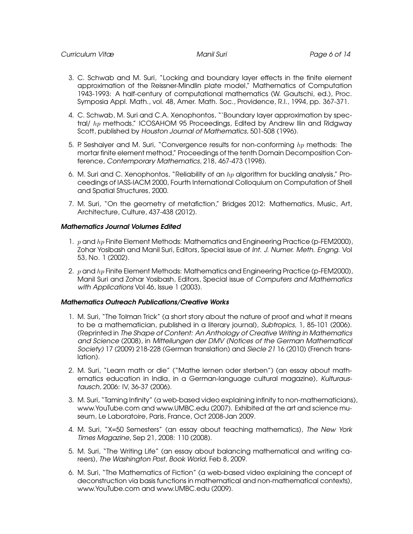- 3. C. Schwab and M. Suri, "Locking and boundary layer effects in the finite element approximation of the Reissner-Mindlin plate model," Mathematics of Computation 1943-1993: A half-century of computational mathematics (W. Gautschi, ed.), Proc. Symposia Appl. Math., vol. 48, Amer. Math. Soc., Providence, R.I., 1994, pp. 367-371.
- 4. C. Schwab, M. Suri and C.A. Xenophontos, "'Boundary layer approximation by spectral/ hp methods," ICOSAHOM 95 Proceedings, Edited by Andrew Ilin and Ridgway Scott, published by Houston Journal of Mathematics, 501-508 (1996).
- 5. P. Seshaiyer and M. Suri, "Convergence results for non-conforming hp methods: The mortar finite element method," Proceedings of the tenth Domain Decomposition Conference, Contemporary Mathematics, 218, 467-473 (1998).
- 6. M. Suri and C. Xenophontos, "Reliability of an  $hp$  algorithm for buckling analysis," Proceedings of IASS-IACM 2000, Fourth International Colloquium on Computation of Shell and Spatial Structures, 2000.
- 7. M. Suri, "On the geometry of metafiction," Bridges 2012: Mathematics, Music, Art, Architecture, Culture, 437-438 (2012).

# Mathematics Journal Volumes Edited

- 1.  $p$  and  $hp$  Finite Element Methods: Mathematics and Engineering Practice (p-FEM2000), Zohar Yosibash and Manil Suri, Editors, Special issue of Int. J. Numer. Meth. Engng. Vol 53, No. 1 (2002).
- 2.  $p$  and  $hp$  Finite Element Methods: Mathematics and Engineering Practice (p-FEM2000), Manil Suri and Zohar Yosibash, Editors, Special issue of Computers and Mathematics with Applications Vol 46, Issue 1 (2003).

### Mathematics Outreach Publications/Creative Works

- 1. M. Suri, "The Tolman Trick" (a short story about the nature of proof and what it means to be a mathematician, published in a literary journal), Subtropics, 1, 85-101 (2006). (Reprinted in The Shape of Content: An Anthology of Creative Writing in Mathematics and Science (2008), in Mitteilungen der DMV (Notices of the German Mathematical Society) 17 (2009) 218-228 (German translation) and Siecle 21 16 (2010) (French translation).
- 2. M. Suri, "Learn math or die" ("Mathe lernen oder sterben") (an essay about mathematics education in India, in a German-language cultural magazine), Kulturaustausch, 2006: IV, 36-37 (2006).
- 3. M. Suri, "Taming Infinity" (a web-based video explaining infinity to non-mathematicians), www.YouTube.com and www.UMBC.edu (2007). Exhibited at the art and science museum, Le Laboratoire, Paris, France, Oct 2008-Jan 2009.
- 4. M. Suri, "X=50 Semesters" (an essay about teaching mathematics), The New York Times Magazine, Sep 21, 2008: 110 (2008).
- 5. M. Suri, "The Writing Life" (an essay about balancing mathematical and writing careers), The Washington Post, Book World, Feb 8, 2009.
- 6. M. Suri, "The Mathematics of Fiction" (a web-based video explaining the concept of deconstruction via basis functions in mathematical and non-mathematical contexts), www.YouTube.com and www.UMBC.edu (2009).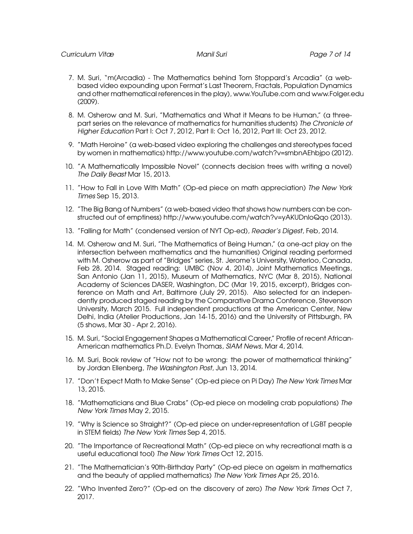- 7. M. Suri, "m(Arcadia) The Mathematics behind Tom Stoppard's Arcadia" (a webbased video expounding upon Fermat's Last Theorem, Fractals, Population Dynamics and other mathematical references in the play), www.YouTube.com and www.Folger.edu (2009).
- 8. M. Osherow and M. Suri, "Mathematics and What it Means to be Human," (a threepart series on the relevance of mathematics for humanities students) The Chronicle of Higher Education Part I: Oct 7, 2012, Part II: Oct 16, 2012, Part III: Oct 23, 2012.
- 9. "Math Heroine" (a web-based video exploring the challenges and stereotypes faced by women in mathematics) http://www.youtube.com/watch?v=smbnAEhbjpo (2012).
- 10. "A Mathematically Impossible Novel" (connects decision trees with writing a novel) The Daily Beast Mar 15, 2013.
- 11. "How to Fall in Love With Math" (Op-ed piece on math appreciation) The New York Times Sep 15, 2013.
- 12. "The Big Bang of Numbers" (a web-based video that shows how numbers can be constructed out of emptiness) http://www.youtube.com/watch?v=yAKUDnloQqo (2013).
- 13. "Falling for Math" (condensed version of NYT Op-ed), Reader's Digest, Feb, 2014.
- 14. M. Osherow and M. Suri, "The Mathematics of Being Human," (a one-act play on the intersection between mathematics and the humanities) Original reading performed with M. Osherow as part of "Bridges" series, St. Jerome's University, Waterloo, Canada, Feb 28, 2014. Staged reading: UMBC (Nov 4, 2014), Joint Mathematics Meetings, San Antonio (Jan 11, 2015), Museum of Mathematics, NYC (Mar 8, 2015), National Academy of Sciences DASER, Washington, DC (Mar 19, 2015, excerpt), Bridges conference on Math and Art, Baltimore (July 29, 2015). Also selected for an independently produced staged reading by the Comparative Drama Conference, Stevenson University, March 2015. Full independent productions at the American Center, New Delhi, India (Atelier Productions, Jan 14-15, 2016) and the University of Pittsburgh, PA (5 shows, Mar 30 - Apr 2, 2016).
- 15. M. Suri, "Social Engagement Shapes a Mathematical Career," Profile of recent African-American mathematics Ph.D. Evelyn Thomas, SIAM News, Mar 4, 2014.
- 16. M. Suri, Book review of "How not to be wrong: the power of mathematical thinking" by Jordan Ellenberg, The Washington Post, Jun 13, 2014.
- 17. "Don't Expect Math to Make Sense" (Op-ed piece on Pi Day) The New York Times Mar 13, 2015.
- 18. "Mathematicians and Blue Crabs" (Op-ed piece on modeling crab populations) The New York Times May 2, 2015.
- 19. "Why is Science so Straight?" (Op-ed piece on under-representation of LGBT people in STEM fields) The New York Times Sep 4, 2015.
- 20. "The Importance of Recreational Math" (Op-ed piece on why recreational math is a useful educational tool) The New York Times Oct 12, 2015.
- 21. "The Mathematician's 90th-Birthday Party" (Op-ed piece on ageism in mathematics and the beauty of applied mathematics) The New York Times Apr 25, 2016.
- 22. "Who Invented Zero?" (Op-ed on the discovery of zero) The New York Times Oct 7, 2017.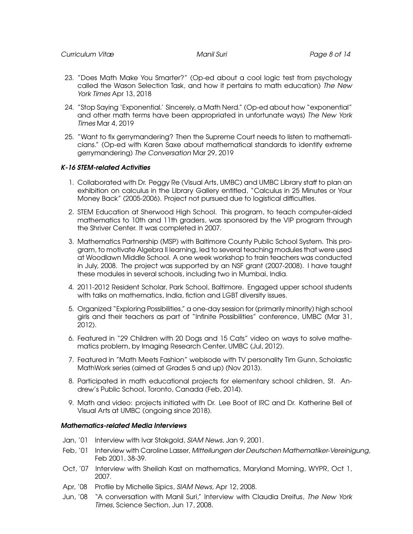- 23. "Does Math Make You Smarter?" (Op-ed about a cool logic test from psychology called the Wason Selection Task, and how it pertains to math education) The New York Times Apr 13, 2018
- 24. "Stop Saying 'Exponential.' Sincerely, a Math Nerd." (Op-ed about how "exponential" and other math terms have been appropriated in unfortunate ways) The New York Times Mar 4, 2019
- 25. "Want to fix gerrymandering? Then the Supreme Court needs to listen to mathematicians." (Op-ed with Karen Saxe about mathematical standards to identify extreme gerrymandering) The Conversation Mar 29, 2019

# K-16 STEM-related Activities

- 1. Collaborated with Dr. Peggy Re (Visual Arts, UMBC) and UMBC Library staff to plan an exhibition on calculus in the Library Gallery entitled, "Calculus in 25 Minutes or Your Money Back" (2005-2006). Project not pursued due to logistical difficulties.
- 2. STEM Education at Sherwood High School. This program, to teach computer-aided mathematics to 10th and 11th graders, was sponsored by the VIP program through the Shriver Center. It was completed in 2007.
- 3. Mathematics Partnership (MSP) with Baltimore County Public School System. This program, to motivate Algebra II learning, led to several teaching modules that were used at Woodlawn Middle School. A one week workshop to train teachers was conducted in July, 2008. The project was supported by an NSF grant (2007-2008). I have taught these modules in several schools, including two in Mumbai, India.
- 4. 2011-2012 Resident Scholar, Park School, Baltimore. Engaged upper school students with talks on mathematics, India, fiction and LGBT diversity issues.
- 5. Organized "Exploring Possibilities," a one-day session for (primarily minority) high school girls and their teachers as part of "Infinite Possibilities" conference, UMBC (Mar 31, 2012).
- 6. Featured in "29 Children with 20 Dogs and 15 Cats" video on ways to solve mathematics problem, by Imaging Research Center, UMBC (Jul, 2012).
- 7. Featured in "Math Meets Fashion" webisode with TV personality Tim Gunn, Scholastic MathWork series (aimed at Grades 5 and up) (Nov 2013).
- 8. Participated in math educational projects for elementary school children, St. Andrew's Public School, Toronto, Canada (Feb, 2014).
- 9. Math and video: projects initiated with Dr. Lee Boot of IRC and Dr. Katherine Bell of Visual Arts at UMBC (ongoing since 2018).

### Mathematics-related Media Interviews

- Jan, '01 Interview with Ivar Stakgold, SIAM News, Jan 9, 2001.
- Feb, '01 Interview with Caroline Lasser, Mitteilungen der Deutschen Mathematiker-Vereinigung, Feb 2001, 38-39.
- Oct, '07 Interview with Sheilah Kast on mathematics, Maryland Morning, WYPR, Oct 1, 2007.
- Apr, '08 Profile by Michelle Sipics, SIAM News, Apr 12, 2008.
- Jun, '08 "A conversation with Manil Suri," Interview with Claudia Dreifus, The New York Times, Science Section, Jun 17, 2008.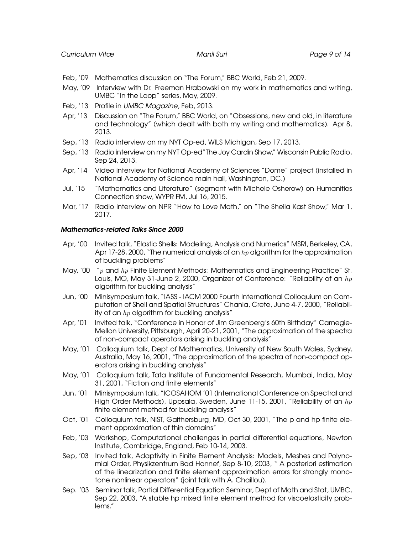- Feb, '09 Mathematics discussion on "The Forum," BBC World, Feb 21, 2009.
- May, '09 Interview with Dr. Freeman Hrabowski on my work in mathematics and writing, UMBC "In the Loop" series, May, 2009.
- Feb, '13 Profile in UMBC Magazine, Feb, 2013.
- Apr, '13 Discussion on "The Forum," BBC World, on "Obsessions, new and old, in literature and technology" (which dealt with both my writing and mathematics). Apr 8, 2013.
- Sep, '13 Radio interview on my NYT Op-ed, WILS Michigan, Sep 17, 2013.
- Sep, '13 Radio interview on my NYT Op-ed"The Joy Cardin Show," Wisconsin Public Radio, Sep 24, 2013.
- Apr, '14 Video interview for National Academy of Sciences "Dome" project (installed in National Academy of Science main hall, Washington, DC.)
- Jul, '15 "Mathematics and Literature" (segment with Michele Osherow) on Humanities Connection show, WYPR FM, Jul 16, 2015.
- Mar, '17 Radio interview on NPR "How to Love Math," on "The Sheila Kast Show," Mar 1, 2017.

# Mathematics-related Talks Since 2000

- Apr, '00 Invited talk, "Elastic Shells: Modeling, Analysis and Numerics" MSRI, Berkeley, CA, Apr 17-28, 2000, "The numerical analysis of an  $hp$  algorithm for the approximation of buckling problems"
- May, '00 "p and hp Finite Element Methods: Mathematics and Engineering Practice" St. Louis, MO, May 31-June 2, 2000, Organizer of Conference: "Reliability of an  $hp$ algorithm for buckling analysis"
- Jun, '00 Minisymposium talk, "IASS IACM 2000 Fourth International Colloquium on Computation of Shell and Spatial Structures" Chania, Crete, June 4-7, 2000, "Reliability of an  $hp$  algorithm for buckling analysis"
- Apr, '01 Invited talk, "Conference in Honor of Jim Greenberg's 60th Birthday" Carnegie-Mellon University, Pittsburgh, April 20-21, 2001, "The approximation of the spectra of non-compact operators arising in buckling analysis"
- May, '01 Colloquium talk, Dept of Mathematics, University of New South Wales, Sydney, Australia, May 16, 2001, "The approximation of the spectra of non-compact operators arising in buckling analysis"
- May, '01 Colloquium talk, Tata Institute of Fundamental Research, Mumbai, India, May 31, 2001, "Fiction and finite elements"
- Jun, '01 Minisymposium talk, "ICOSAHOM '01 (International Conference on Spectral and High Order Methods), Uppsala, Sweden, June 11-15, 2001, "Reliability of an  $hp$ finite element method for buckling analysis"
- Oct, '01 Colloquium talk, NIST, Gaithersburg, MD, Oct 30, 2001, "The p and hp finite element approximation of thin domains"
- Feb, '03 Workshop, Computational challenges in partial differential equations, Newton Institute, Cambridge, England, Feb 10-14, 2003.
- Sep, '03 Invited talk, Adaptivity in Finite Element Analysis: Models, Meshes and Polynomial Order, Physikzentrum Bad Honnef, Sep 8-10, 2003, " A posteriori estimation of the linearization and finite element approximation errors for strongly monotone nonlinear operators" (joint talk with A. Chaillou).
- Sep. '03 Seminar talk, Partial Differential Equation Seminar, Dept of Math and Stat, UMBC, Sep 22, 2003, "A stable hp mixed finite element method for viscoelasticity problems."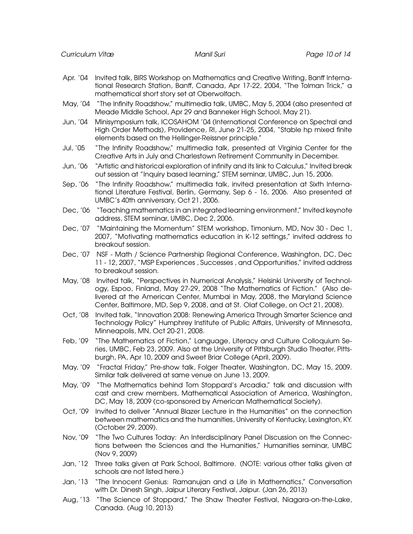- Apr. '04 Invited talk, BIRS Workshop on Mathematics and Creative Writing, Banff International Research Station, Banff, Canada, Apr 17-22, 2004, "The Tolman Trick," a mathematical short story set at Oberwolfach.
- May, '04 "The Infinity Roadshow," multimedia talk, UMBC, May 5, 2004 (also presented at Meade Middle School, Apr 29 and Banneker High School, May 21).
- Jun, '04 Minisymposium talk, ICOSAHOM '04 (International Conference on Spectral and High Order Methods), Providence, RI, June 21-25, 2004, "Stable hp mixed finite elements based on the Hellinger-Reissner principle."
- Jul, '05 "The Infinity Roadshow," multimedia talk, presented at Virginia Center for the Creative Arts in July and Charlestown Retirement Community in December.
- Jun, '06 "Artistic and historical exploration of infinity and its link to Calculus," Invited break out session at "Inquiry based learning," STEM seminar, UMBC, Jun 15, 2006.
- Sep, '06 "The Infinity Roadshow," multimedia talk, invited presentation at Sixth International Literature Festival, Berlin, Germany, Sep 6 - 16, 2006. Also presented at UMBC's 40th anniversary, Oct 21, 2006.
- Dec, '06 "Teaching mathematics in an integrated learning environment," Invited keynote address, STEM seminar, UMBC, Dec 2, 2006.
- Dec, '07 "Maintaining the Momentum" STEM workshop, Timonium, MD, Nov 30 Dec 1, 2007, "Motivating mathematics education in K-12 settings," invited address to breakout session.
- Dec, '07 NSF Math / Science Partnership Regional Conference, Washington, DC, Dec 11 - 12, 2007, "MSP Experiences , Successes , and Opportunities," invited address to breakout session.
- May, '08 Invited talk, "Perspectives in Numerical Analysis," Helsinki University of Technology, Espoo, Finland, May 27-29, 2008 "The Mathematics of Fiction." (Also delivered at the American Center, Mumbai in May, 2008, the Maryland Science Center, Baltimore, MD, Sep 9, 2008, and at St. Olaf College, on Oct 21, 2008).
- Oct, '08 Invited talk, "Innovation 2008: Renewing America Through Smarter Science and Technology Policy" Humphrey Institute of Public Affairs, University of Minnesota, Minneapolis, MN, Oct 20-21, 2008.
- Feb, '09 "The Mathematics of Fiction," Language, Literacy and Culture Colloquium Series, UMBC, Feb 23, 2009. Also at the University of Pittsburgh Studio Theater, Pittsburgh, PA, Apr 10, 2009 and Sweet Briar College (April, 2009).
- May, '09 "Fractal Friday," Pre-show talk, Folger Theater, Washington, DC, May 15, 2009. Similar talk delivered at same venue on June 13, 2009.
- May, '09 "The Mathematics behind Tom Stoppard's Arcadia," talk and discussion with cast and crew members, Mathematical Association of America, Washington, DC, May 18, 2009 (co-sponsored by American Mathematical Society).
- Oct, '09 Invited to deliver "Annual Blazer Lecture in the Humanities" on the connection between mathematics and the humanities, University of Kentucky, Lexington, KY. (October 29, 2009).
- Nov, '09 "The Two Cultures Today: An Interdisciplinary Panel Discussion on the Connections between the Sciences and the Humanities," Humanities seminar, UMBC (Nov 9, 2009)
- Jan, '12 Three talks given at Park School, Baltimore. (NOTE: various other talks given at schools are not listed here.)
- Jan, '13 "The Innocent Genius: Ramanujan and a Life in Mathematics," Conversation with Dr. Dinesh Singh, Jaipur Literary Festival, Jaipur. (Jan 26, 2013)
- Aug, '13 "The Science of Stoppard," The Shaw Theater Festival, Niagara-on-the-Lake, Canada. (Aug 10, 2013)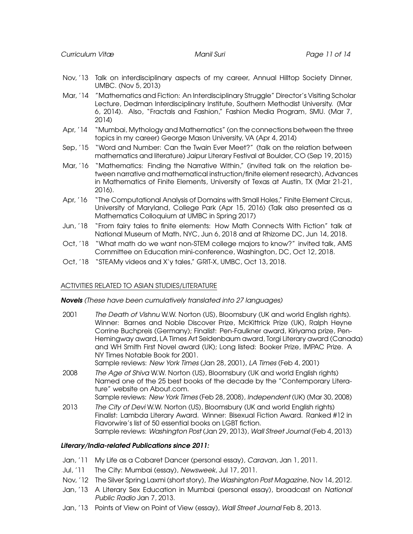- Nov, '13 Talk on interdisciplinary aspects of my career, Annual Hilltop Society Dinner, UMBC. (Nov 5, 2013)
- Mar, '14 "Mathematics and Fiction: An Interdisciplinary Struggle" Director's Visiting Scholar Lecture, Dedman Interdisciplinary Institute, Southern Methodist University. (Mar 6, 2014). Also, "Fractals and Fashion," Fashion Media Program, SMU. (Mar 7, 2014)
- Apr, '14 "Mumbai, Mythology and Mathematics" (on the connections between the three topics in my career) George Mason University, VA (Apr 4, 2014)
- Sep, '15 "Word and Number: Can the Twain Ever Meet?" (talk on the relation between mathematics and literature) Jaipur Literary Festival at Boulder, CO (Sep 19, 2015)
- Mar, '16 "Mathematics: Finding the Narrative Within," (invited talk on the relation between narrative and mathematical instruction/finite element research), Advances in Mathematics of Finite Elements, University of Texas at Austin, TX (Mar 21-21, 2016).
- Apr, '16 "The Computational Analysis of Domains with Small Holes," Finite Element Circus, University of Maryland, College Park (Apr 15, 2016) (Talk also presented as a Mathematics Colloquium at UMBC in Spring 2017)
- Jun, '18 "From fairy tales to finite elements: How Math Connects With Fiction" talk at National Museum of Math, NYC, Jun 6, 2018 and at Rhizome DC, Jun 14, 2018.
- Oct, '18 "What math do we want non-STEM college majors to know?" invited talk, AMS Committee on Education mini-conference, Washington, DC, Oct 12, 2018.
- Oct, '18 "STEAMy videos and X'y tales," GRIT-X, UMBC, Oct 13, 2018.

# ACTIVITIES RELATED TO ASIAN STUDIES/LITERATURE

Novels (These have been cumulatively translated into 27 languages)

- 2001 The Death of Vishnu W.W. Norton (US), Bloomsbury (UK and world English rights). Winner: Barnes and Noble Discover Prize, McKittrick Prize (UK), Ralph Heyne Corrine Buchpreis (Germany); Finalist: Pen-Faulkner award, Kiriyama prize, Pen-Hemingway award, LA Times Art Seidenbaum award, Torgi Literary award (Canada) and WH Smith First Novel award (UK); Long listed: Booker Prize, IMPAC Prize. A NY Times Notable Book for 2001. Sample reviews: New York Times (Jan 28, 2001), LA Times (Feb 4, 2001)
- 2008 The Age of Shiva W.W. Norton (US), Bloomsbury (UK and world English rights) Named one of the 25 best books of the decade by the "Contemporary Literature" website on About.com.

Sample reviews: New York Times (Feb 28, 2008), Independent (UK) (Mar 30, 2008)

2013 The City of Devi W.W. Norton (US), Bloomsbury (UK and world English rights) Finalist: Lambda Literary Award. Winner: Bisexual Fiction Award. Ranked #12 in Flavorwire's list of 50 essential books on LGBT fiction. Sample reviews: Washington Post (Jan 29, 2013), Wall Street Journal (Feb 4, 2013)

### Literary/India-related Publications since 2011:

- Jan, '11 My Life as a Cabaret Dancer (personal essay), Caravan, Jan 1, 2011.
- Jul, '11 The City: Mumbai (essay), Newsweek, Jul 17, 2011.
- Nov, '12 The Silver Spring Laxmi (short story), The Washington Post Magazine, Nov 14, 2012.
- Jan, '13 A Literary Sex Education in Mumbai (personal essay), broadcast on National Public Radio Jan 7, 2013.
- Jan, '13 Points of View on Point of View (essay), Wall Street Journal Feb 8, 2013.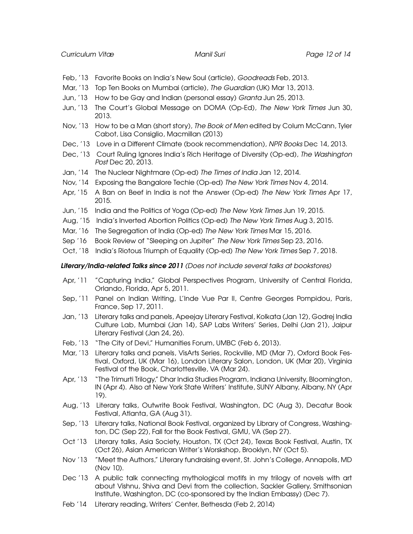- Feb, '13 Favorite Books on India's New Soul (article), Goodreads Feb, 2013.
- Mar, '13 Top Ten Books on Mumbai (article), The Guardian (UK) Mar 13, 2013.
- Jun, '13 How to be Gay and Indian (personal essay) Granta Jun 25, 2013.
- Jun, '13 The Court's Global Message on DOMA (Op-Ed), The New York Times Jun 30, 2013.
- Nov, '13 How to be a Man (short story), The Book of Men edited by Colum McCann, Tyler Cabot, Lisa Consiglio, Macmillan (2013)
- Dec, '13 Love in a Different Climate (book recommendation), NPR Books Dec 14, 2013.
- Dec, '13 Court Ruling Ignores India's Rich Heritage of Diversity (Op-ed), The Washington Post Dec 20, 2013.
- Jan, '14 The Nuclear Nightmare (Op-ed) The Times of India Jan 12, 2014.
- Nov, '14 Exposing the Bangalore Techie (Op-ed) The New York Times Nov 4, 2014.
- Apr, '15 A Ban on Beef in India is not the Answer (Op-ed) The New York Times Apr 17, 2015.
- Jun, '15 India and the Politics of Yoga (Op-ed) The New York Times Jun 19, 2015.
- Aug, '15 India's Inverted Abortion Politics (Op-ed) The New York Times Aug 3, 2015.
- Mar, '16 The Segregation of India (Op-ed) The New York Times Mar 15, 2016.
- Sep '16 Book Review of "Sleeping on Jupiter" The New York Times Sep 23, 2016.
- Oct, '18 India's Riotous Triumph of Equality (Op-ed) The New York Times Sep 7, 2018.

### Literary/India-related Talks since 2011 (Does not include several talks at bookstores)

- Apr, '11 "Capturing India," Global Perspectives Program, University of Central Florida, Orlando, Florida, Apr 5, 2011.
- Sep, '11 Panel on Indian Writing, L'Inde Vue Par II, Centre Georges Pompidou, Paris, France, Sep 17, 2011.
- Jan, '13 Literary talks and panels, Apeejay Literary Festival, Kolkata (Jan 12), Godrej India Culture Lab, Mumbai (Jan 14), SAP Labs Writers' Series, Delhi (Jan 21), Jaipur Literary Festival (Jan 24, 26).
- Feb, '13 "The City of Devi," Humanities Forum, UMBC (Feb 6, 2013).
- Mar, '13 Literary talks and panels, VisArts Series, Rockville, MD (Mar 7), Oxford Book Festival, Oxford, UK (Mar 16), London Literary Salon, London, UK (Mar 20), Virginia Festival of the Book, Charlottesville, VA (Mar 24).
- Apr, '13 "The Trimurti Trilogy," Dhar India Studies Program, Indiana University, Bloomington, IN (Apr 4). Also at New York State Writers' Institute, SUNY Albany, Albany, NY (Apr 19).
- Aug, '13 Literary talks, Outwrite Book Festival, Washington, DC (Aug 3), Decatur Book Festival, Atlanta, GA (Aug 31).
- Sep, '13 Literary talks, National Book Festival, organized by Library of Congress, Washington, DC (Sep 22), Fall for the Book Festival, GMU, VA (Sep 27).
- Oct '13 Literary talks, Asia Society, Houston, TX (Oct 24), Texas Book Festival, Austin, TX (Oct 26), Asian American Writer's Worskshop, Brooklyn, NY (Oct 5).
- Nov '13 "Meet the Authors," Literary fundraising event, St. John's College, Annapolis, MD (Nov 10).
- Dec '13 A public talk connecting mythological motifs in my trilogy of novels with art about Vishnu, Shiva and Devi from the collection, Sackler Gallery, Smithsonian Institute, Washington, DC (co-sponsored by the Indian Embassy) (Dec 7).
- Feb '14 Literary reading, Writers' Center, Bethesda (Feb 2, 2014)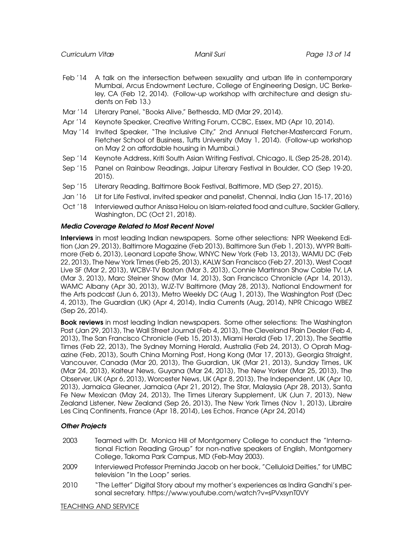- Feb '14 A talk on the intersection between sexuality and urban life in contemporary Mumbai, Arcus Endowment Lecture, College of Engineering Design, UC Berkeley, CA (Feb 12, 2014). (Follow-up workshop with architecture and design students on Feb 13.)
- Mar '14 Literary Panel, "Books Alive," Bethesda, MD (Mar 29, 2014).
- Apr '14 Keynote Speaker, Creative Writing Forum, CCBC, Essex, MD (Apr 10, 2014).
- May '14 Invited Speaker, "The Inclusive City," 2nd Annual Fletcher-Mastercard Forum, Fletcher School of Business, Tufts University (May 1, 2014). (Follow-up workshop on May 2 on affordable housing in Mumbai.)
- Sep '14 Keynote Address, Kriti South Asian Writing Festival, Chicago, IL (Sep 25-28, 2014).
- Sep '15 Panel on Rainbow Readings, Jaipur Literary Festival in Boulder, CO (Sep 19-20, 2015).
- Sep '15 Literary Reading, Baltimore Book Festival, Baltimore, MD (Sep 27, 2015).
- Jan '16 Lit for Life Festival, invited speaker and panelist, Chennai, India (Jan 15-17, 2016)
- Oct '18 Interviewed author Anissa Helou on Islam-related food and culture, Sackler Gallery, Washington, DC (Oct 21, 2018).

# Media Coverage Related to Most Recent Novel

Interviews in most leading Indian newspapers. Some other selections: NPR Weekend Edition (Jan 29, 2013), Baltimore Magazine (Feb 2013), Baltimore Sun (Feb 1, 2013), WYPR Baltimore (Feb 6, 2013), Leonard Lopate Show, WNYC New York (Feb 13, 2013), WAMU DC (Feb 22, 2013), The New York Times (Feb 25, 2013), KALW San Francisco (Feb 27, 2013), West Coast Live SF (Mar 2, 2013), WCBV-TV Boston (Mar 3, 2013), Connie Martinson Show Cable TV, LA (Mar 3, 2013), Marc Steiner Show (Mar 14, 2013), San Francisco Chronicle (Apr 14, 2013), WAMC Albany (Apr 30, 2013), WJZ-TV Baltimore (May 28, 2013), National Endowment for the Arts podcast (Jun 6, 2013), Metro Weekly DC (Aug 1, 2013), The Washington Post (Dec 4, 2013), The Guardian (UK) (Apr 4, 2014), India Currents (Aug, 2014), NPR Chicago WBEZ (Sep 26, 2014).

**Book reviews** in most leading Indian newspapers. Some other selections: The Washington Post (Jan 29, 2013), The Wall Street Journal (Feb 4, 2013), The Cleveland Plain Dealer (Feb 4, 2013), The San Francisco Chronicle (Feb 15, 2013), Miami Herald (Feb 17, 2013), The Seattle Times (Feb 22, 2013), The Sydney Morning Herald, Australia (Feb 24, 2013), O Oprah Magazine (Feb, 2013), South China Morning Post, Hong Kong (Mar 17, 2013), Georgia Straight, Vancouver, Canada (Mar 20, 2013), The Guardian, UK (Mar 21, 2013), Sunday Times, UK (Mar 24, 2013), Kaiteur News, Guyana (Mar 24, 2013), The New Yorker (Mar 25, 2013), The Observer, UK (Apr 6, 2013), Worcester News, UK (Apr 8, 2013), The Independent, UK (Apr 10, 2013), Jamaica Gleaner, Jamaica (Apr 21, 2012), The Star, Malaysia (Apr 28, 2013), Santa Fe New Mexican (May 24, 2013), The Times Literary Supplement, UK (Jun 7, 2013), New Zealand Listener, New Zealand (Sep 26, 2013), The New York Times (Nov 1, 2013), Libraire Les Cinq Continents, France (Apr 18, 2014), Les Echos, France (Apr 24, 2014)

### Other Projects

- 2003 Teamed with Dr. Monica Hill of Montgomery College to conduct the "International Fiction Reading Group" for non-native speakers of English, Montgomery College, Takoma Park Campus, MD (Feb-May 2003).
- 2009 Interviewed Professor Preminda Jacob on her book, "Celluloid Deities," for UMBC television "In the Loop" series.
- 2010 "The Letter" Digital Story about my mother's experiences as Indira Gandhi's personal secretary. https://www.youtube.com/watch?v=sPVxsynT0VY